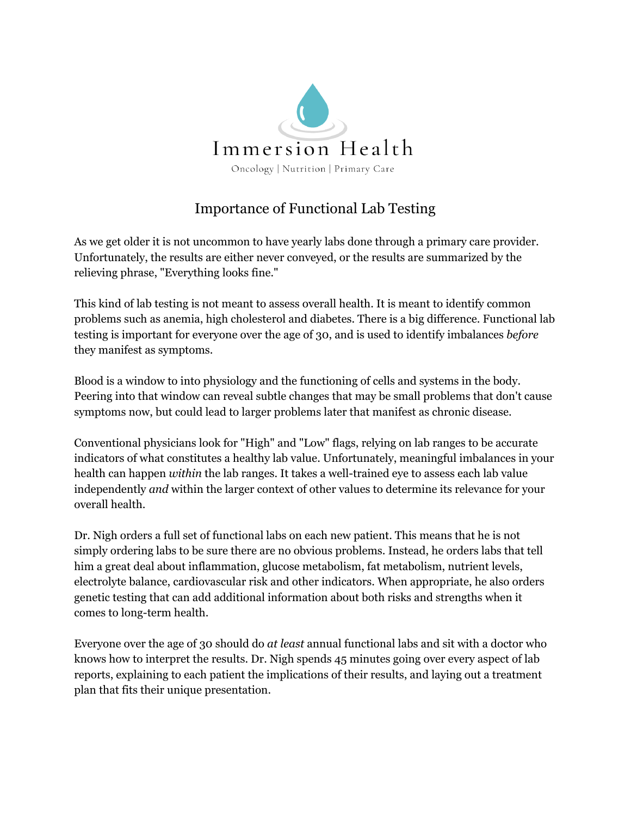

## Importance of Functional Lab Testing

As we get older it is not uncommon to have yearly labs done through a primary care provider. Unfortunately, the results are either never conveyed, or the results are summarized by the relieving phrase, "Everything looks fine."

This kind of lab testing is not meant to assess overall health. It is meant to identify common problems such as anemia, high cholesterol and diabetes. There is a big difference. Functional lab testing is important for everyone over the age of 30, and is used to identify imbalances *before* they manifest as symptoms.

Blood is a window to into physiology and the functioning of cells and systems in the body. Peering into that window can reveal subtle changes that may be small problems that don't cause symptoms now, but could lead to larger problems later that manifest as chronic disease.

Conventional physicians look for "High" and "Low" flags, relying on lab ranges to be accurate indicators of what constitutes a healthy lab value. Unfortunately, meaningful imbalances in your health can happen *within* the lab ranges. It takes a well-trained eye to assess each lab value independently *and* within the larger context of other values to determine its relevance for your overall health.

Dr. Nigh orders a full set of functional labs on each new patient. This means that he is not simply ordering labs to be sure there are no obvious problems. Instead, he orders labs that tell him a great deal about inflammation, glucose metabolism, fat metabolism, nutrient levels, electrolyte balance, cardiovascular risk and other indicators. When appropriate, he also orders genetic testing that can add additional information about both risks and strengths when it comes to long-term health.

Everyone over the age of 30 should do *at least* annual functional labs and sit with a doctor who knows how to interpret the results. Dr. Nigh spends 45 minutes going over every aspect of lab reports, explaining to each patient the implications of their results, and laying out a treatment plan that fits their unique presentation.